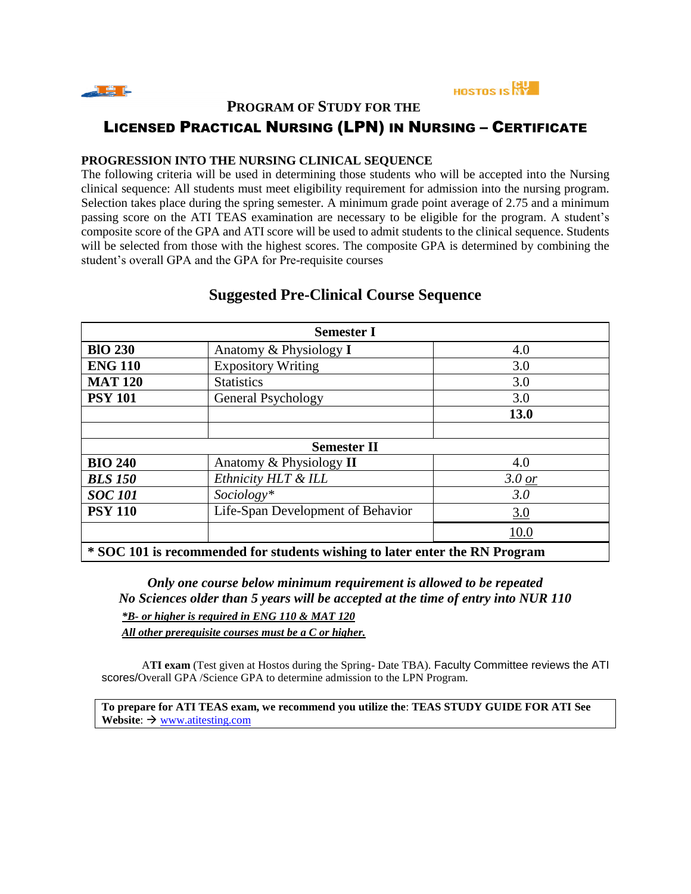



**PROGRAM OF STUDY FOR THE** 

# LICENSED PRACTICAL NURSING (LPN) IN NURSING – CERTIFICATE

#### **PROGRESSION INTO THE NURSING CLINICAL SEQUENCE**

The following criteria will be used in determining those students who will be accepted into the Nursing clinical sequence: All students must meet eligibility requirement for admission into the nursing program. Selection takes place during the spring semester. A minimum grade point average of 2.75 and a minimum passing score on the ATI TEAS examination are necessary to be eligible for the program. A student's composite score of the GPA and ATI score will be used to admit students to the clinical sequence. Students will be selected from those with the highest scores. The composite GPA is determined by combining the student's overall GPA and the GPA for Pre-requisite courses

| <b>Semester I</b>                                                           |                                   |          |  |
|-----------------------------------------------------------------------------|-----------------------------------|----------|--|
| <b>BIO 230</b>                                                              | Anatomy & Physiology I            | 4.0      |  |
| <b>ENG 110</b>                                                              | <b>Expository Writing</b>         | 3.0      |  |
| <b>MAT 120</b>                                                              | <b>Statistics</b>                 | 3.0      |  |
| <b>PSY 101</b>                                                              | General Psychology                | 3.0      |  |
|                                                                             |                                   | 13.0     |  |
|                                                                             |                                   |          |  |
| <b>Semester II</b>                                                          |                                   |          |  |
| <b>BIO 240</b>                                                              | Anatomy & Physiology II           | 4.0      |  |
| <b>BLS 150</b>                                                              | Ethnicity HLT & ILL               | $3.0$ or |  |
| <b>SOC 101</b>                                                              | Sociology*                        | 3.0      |  |
| <b>PSY 110</b>                                                              | Life-Span Development of Behavior | 3.0      |  |
|                                                                             |                                   | 10.0     |  |
| * SOC 101 is recommended for students wishing to later enter the RN Program |                                   |          |  |

## **Suggested Pre-Clinical Course Sequence**

*Only one course below minimum requirement is allowed to be repeated No Sciences older than 5 years will be accepted at the time of entry into NUR 110 \*B- or higher is required in ENG 110 & MAT 120 All other prerequisite courses must be a C or higher.* 

A**TI exam** (Test given at Hostos during the Spring- Date TBA). Faculty Committee reviews the ATI scores/Overall GPA /Science GPA to determine admission to the LPN Program.

**To prepare for ATI TEAS exam, we recommend you utilize the**: **TEAS STUDY GUIDE FOR ATI See Website**:  $\rightarrow$  <u>[www.atitesting.com](http://www.atitesting.com/)</u>